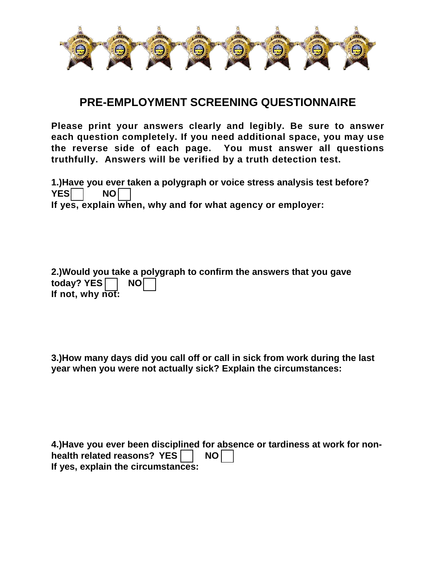

## **PRE-EMPLOYMENT SCREENING QUESTIONNAIRE**

**Please print your answers clearly and legibly. Be sure to answer each question completely. If you need additional space, you may use the reverse side of each page. You must answer all questions truthfully. Answers will be verified by a truth detection test.** 

**1.)Have you ever taken a polygraph or voice stress analysis test before?**  YES<sup>I</sup> NO **If yes, explain when, why and for what agency or employer:**

**2.)Would you take a polygraph to confirm the answers that you gave**  today? YES<sup>N</sup> **If not, why not:** 

**3.)How many days did you call off or call in sick from work during the last year when you were not actually sick? Explain the circumstances:** 

**4.)Have you ever been disciplined for absence or tardiness at work for nonhealth related reasons? YES | | NO If yes, explain the circumstances:**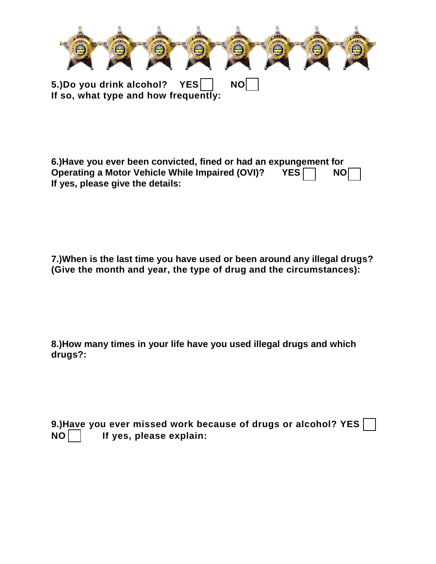

**6.)Have you ever been convicted, fined or had an expungement for Operating a Motor Vehicle While Impaired (OVI)? YES NO If yes, please give the details:** 

**7.)When is the last time you have used or been around any illegal drugs? (Give the month and year, the type of drug and the circumstances):** 

**8.)How many times in your life have you used illegal drugs and which drugs?:** 

**9.)Have you ever missed work because of drugs or alcohol? YES NO If yes, please explain:**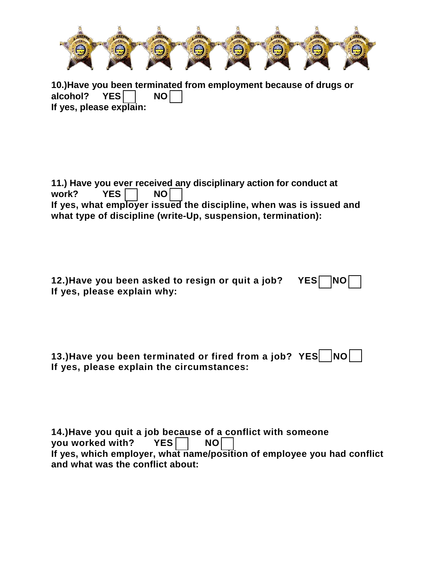

**10.)Have you been terminated from employment because of drugs or alcohol?** YES and NO alcohol? **If yes, please explain:** 

**11.)** Have you ever received any disciplinary action for conduct at work? YES  $\Box$  NO  $\Box$ YES<sup> $\Box$ </sup> NO **If yes, what employer issued the discipline, when was is issued and what type of discipline (write-Up, suspension, termination):**

12.)Have you been asked to resign or quit a job? Y **If yes, please explain why:** 

| 13.)Have you been terminated or fired from a job? YES NO |  |
|----------------------------------------------------------|--|
| If yes, please explain the circumstances:                |  |

| 14.) Have you quit a job because of a conflict with someone             |  |  |
|-------------------------------------------------------------------------|--|--|
| you worked with? YES NO                                                 |  |  |
| If yes, which employer, what name/position of employee you had conflict |  |  |
| and what was the conflict about:                                        |  |  |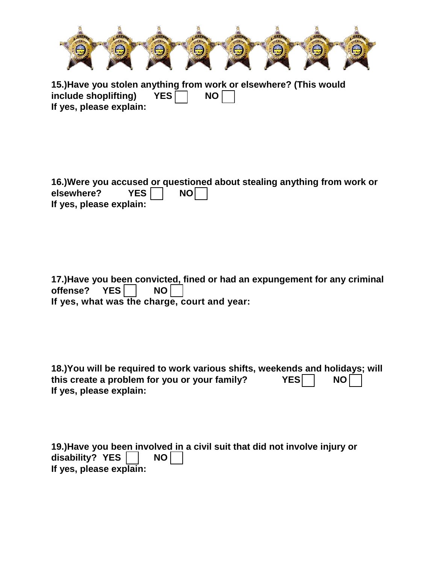

**15.)Have you stolen anything from work or elsewhere? (This would include shoplifting)** YES and NO include shoplifting) **If yes, please explain:** 

|                         |      | 16.) Were you accused or questioned about stealing anything from work or |
|-------------------------|------|--------------------------------------------------------------------------|
| elsewhere? $YES$        | $NO$ |                                                                          |
| If yes, please explain: |      |                                                                          |

**17.)Have you been convicted, fined or had an expungement for any criminal offense?** YES **NO** offense? YES | NO **If yes, what was the charge, court and year:** 

**18.)You will be required to work various shifts, weekends and holidays; will this create a problem for you or your family?** YES and NO this create a problem for you or your family? **If yes, please explain:** 

| 19.) Have you been involved in a civil suit that did not involve injury or |  |  |
|----------------------------------------------------------------------------|--|--|
| disability? $YES$   NO                                                     |  |  |
| If yes, please explain:                                                    |  |  |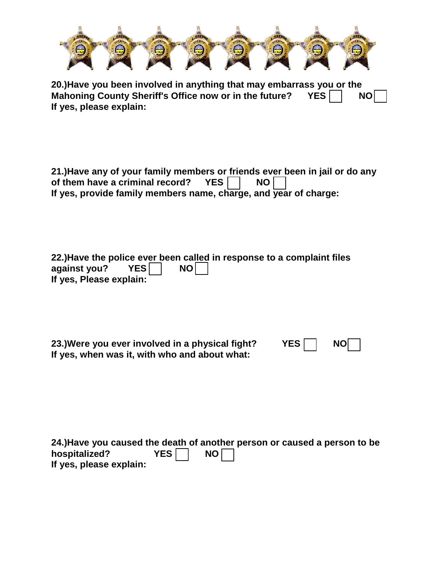| <b>To</b> | <b>STATISTICS</b><br><b>The Contract</b> | ---<br><b>Company</b> | <b>Lines</b><br>$\overline{ }$ | بمقطاع<br><b><i><u>All Property</u></i></b> | <b>COMPANY</b><br><b>Second</b> | <b>Contract</b><br><b>Albert</b> |
|-----------|------------------------------------------|-----------------------|--------------------------------|---------------------------------------------|---------------------------------|----------------------------------|
|           |                                          |                       |                                |                                             |                                 |                                  |

**20.)Have you been involved in anything that may embarrass you or the**  Mahoning County Sheriff's Office now or in the future? YES **NO If yes, please explain:** 

**21.)Have any of your family members or friends ever been in jail or do any of them have a criminal record?** YES  $\Box$  NO  $\Box$ of them have a criminal record? YES **NO If yes, provide family members name, charge, and year of charge:** 

|                         |      | 22.) Have the police ever been called in response to a complaint files |
|-------------------------|------|------------------------------------------------------------------------|
| against you? $YES$      | $NO$ |                                                                        |
| If yes, Please explain: |      |                                                                        |

**23.)Were you ever involved in a physical fight?** YES  $\Box$  NO **If yes, when was it, with who and about what:** 

**24.)Have you caused the death of another person or caused a person to be**  hospitalized? **YES** NO **If yes, please explain:**